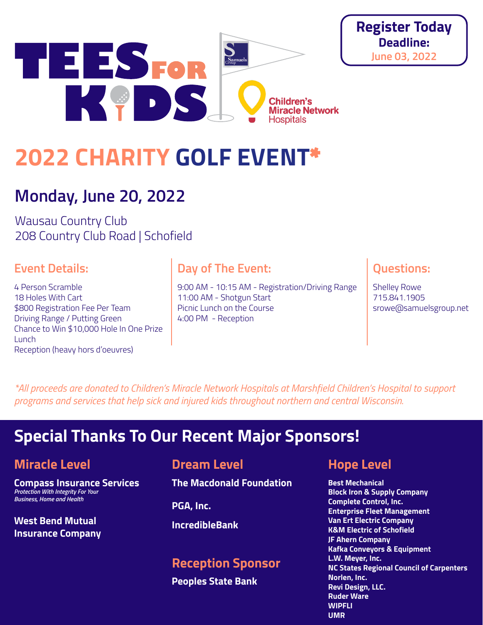



# **Monday, June 20, 2022**

Wausau Country Club 208 Country Club Road | Schofield

#### **Event Details:**

4 Person Scramble 18 Holes With Cart \$800 Registration Fee Per Team Driving Range / Putting Green Chance to Win \$10,000 Hole In One Prize **Lunch** Reception (heavy hors d'oeuvres)

#### **Day of The Event:**

9:00 AM - 10:15 AM - Registration/Driving Range 11:00 AM - Shotgun Start Picnic Lunch on the Course 4:00 PM - Reception

#### **Questions:**

**Register Today Deadline: June 03, 2022**

> Shelley Rowe 715.841.1905 srowe@samuelsgroup.net

*\*All proceeds are donated to Children's Miracle Network Hospitals at Marshfield Children's Hospital to support programs and services that help sick and injured kids throughout northern and central Wisconsin.*

## **Special Thanks To Our Recent Major Sponsors!**

#### **Miracle Level**

**Compass Insurance Services**  *Protection With Integrity For Your Business, Home and Health*

**West Bend Mutual Insurance Company**

#### **Dream Level**

**The Macdonald Foundation** 

**PGA, Inc.**

**IncredibleBank** 

#### **Reception Sponsor**

**Peoples State Bank**

#### **Hope Level**

**Best Mechanical Block Iron & Supply Company Complete Control, Inc. Enterprise Fleet Management Van Ert Electric Company K&M Electric of Schofield JF Ahern Company Kafka Conveyors & Equipment L.W. Meyer, Inc. NC States Regional Council of Carpenters Norlen, Inc. Revi Design, LLC. Ruder Ware WIPFLI UMR**